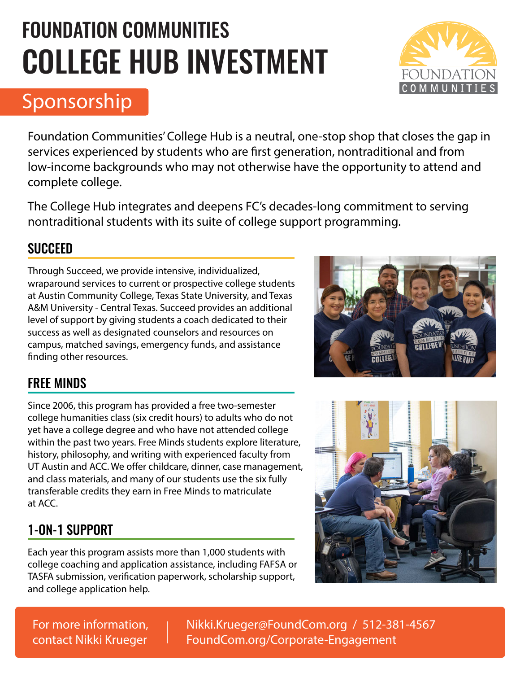# FOUNDATION COMMUNITIES COLLEGE HUB INVESTMENT



# Sponsorship

Foundation Communities' College Hub is a neutral, one-stop shop that closes the gap in services experienced by students who are first generation, nontraditional and from low-income backgrounds who may not otherwise have the opportunity to attend and complete college.

The College Hub integrates and deepens FC's decades-long commitment to serving nontraditional students with its suite of college support programming.

#### **SUCCEED**

Through Succeed, we provide intensive, individualized, wraparound services to current or prospective college students at Austin Community College, Texas State University, and Texas A&M University - Central Texas. Succeed provides an additional level of support by giving students a coach dedicated to their success as well as designated counselors and resources on campus, matched savings, emergency funds, and assistance finding other resources.



### FREE MINDS

Since 2006, this program has provided a free two-semester college humanities class (six credit hours) to adults who do not yet have a college degree and who have not attended college within the past two years. Free Minds students explore literature, history, philosophy, and writing with experienced faculty from UT Austin and ACC. We offer childcare, dinner, case management, and class materials, and many of our students use the six fully transferable credits they earn in Free Minds to matriculate at ACC.

## 1-ON-1 SUPPORT

Each year this program assists more than 1,000 students with college coaching and application assistance, including FAFSA or TASFA submission, verification paperwork, scholarship support, and college application help.



For more information, contact Nikki Krueger Nikki.Krueger@FoundCom.org / 512-381-4567 FoundCom.org/Corporate-Engagement